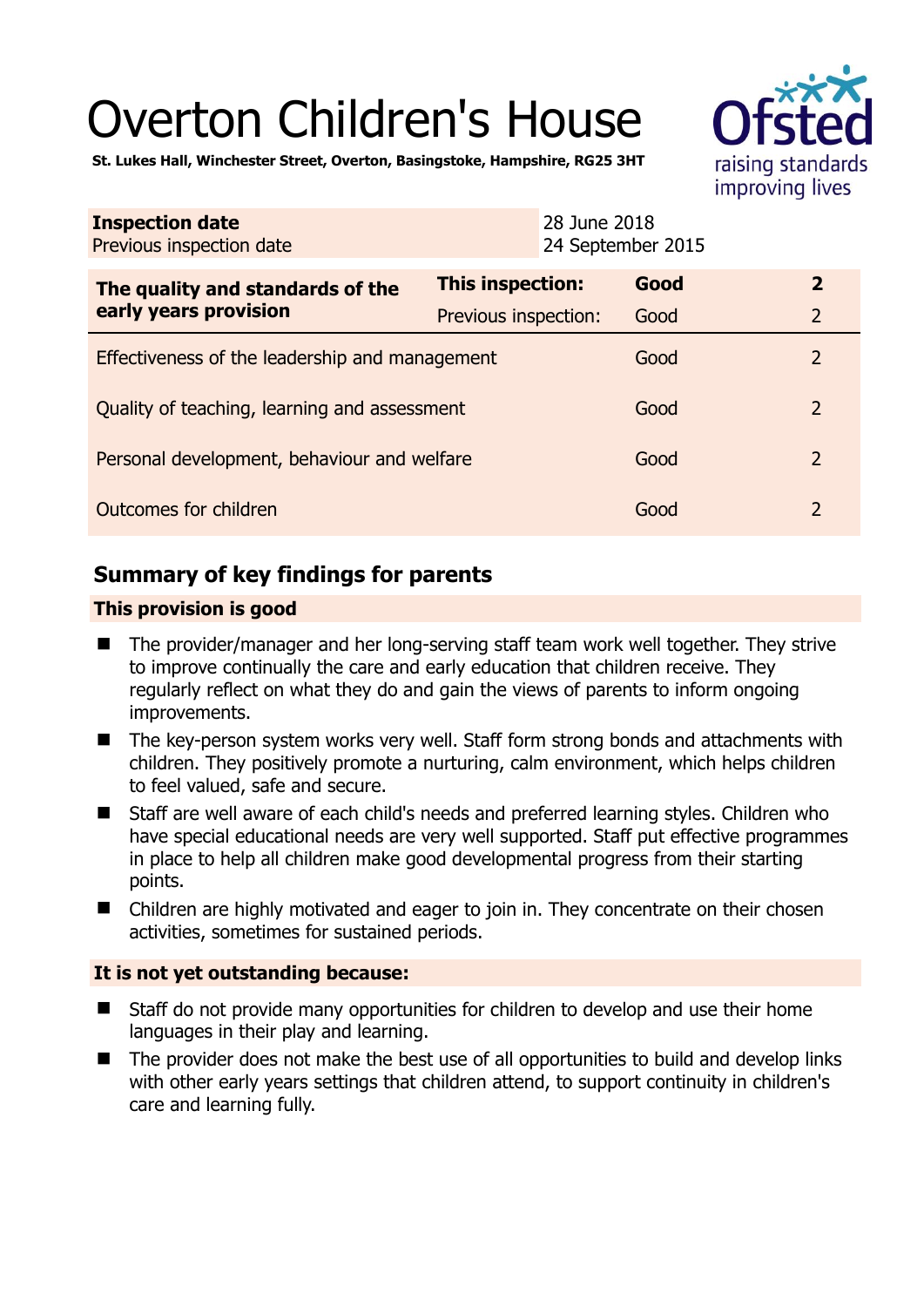# Overton Children's House



**St. Lukes Hall, Winchester Street, Overton, Basingstoke, Hampshire, RG25 3HT** 

| <b>Inspection date</b><br>Previous inspection date        |                      | 28 June 2018<br>24 September 2015 |                |
|-----------------------------------------------------------|----------------------|-----------------------------------|----------------|
| The quality and standards of the<br>early years provision | This inspection:     | Good                              | $\overline{2}$ |
|                                                           | Previous inspection: | Good                              | $\overline{2}$ |
| Effectiveness of the leadership and management            |                      | Good                              | $\overline{2}$ |
| Quality of teaching, learning and assessment              |                      | Good                              | $\overline{2}$ |
| Personal development, behaviour and welfare               |                      | Good                              | $\overline{2}$ |
| Outcomes for children                                     |                      | Good                              | $\overline{2}$ |

# **Summary of key findings for parents**

## **This provision is good**

- The provider/manager and her long-serving staff team work well together. They strive to improve continually the care and early education that children receive. They regularly reflect on what they do and gain the views of parents to inform ongoing improvements.
- The key-person system works very well. Staff form strong bonds and attachments with children. They positively promote a nurturing, calm environment, which helps children to feel valued, safe and secure.
- Staff are well aware of each child's needs and preferred learning styles. Children who have special educational needs are very well supported. Staff put effective programmes in place to help all children make good developmental progress from their starting points.
- Children are highly motivated and eager to join in. They concentrate on their chosen activities, sometimes for sustained periods.

## **It is not yet outstanding because:**

- Staff do not provide many opportunities for children to develop and use their home languages in their play and learning.
- The provider does not make the best use of all opportunities to build and develop links with other early years settings that children attend, to support continuity in children's care and learning fully.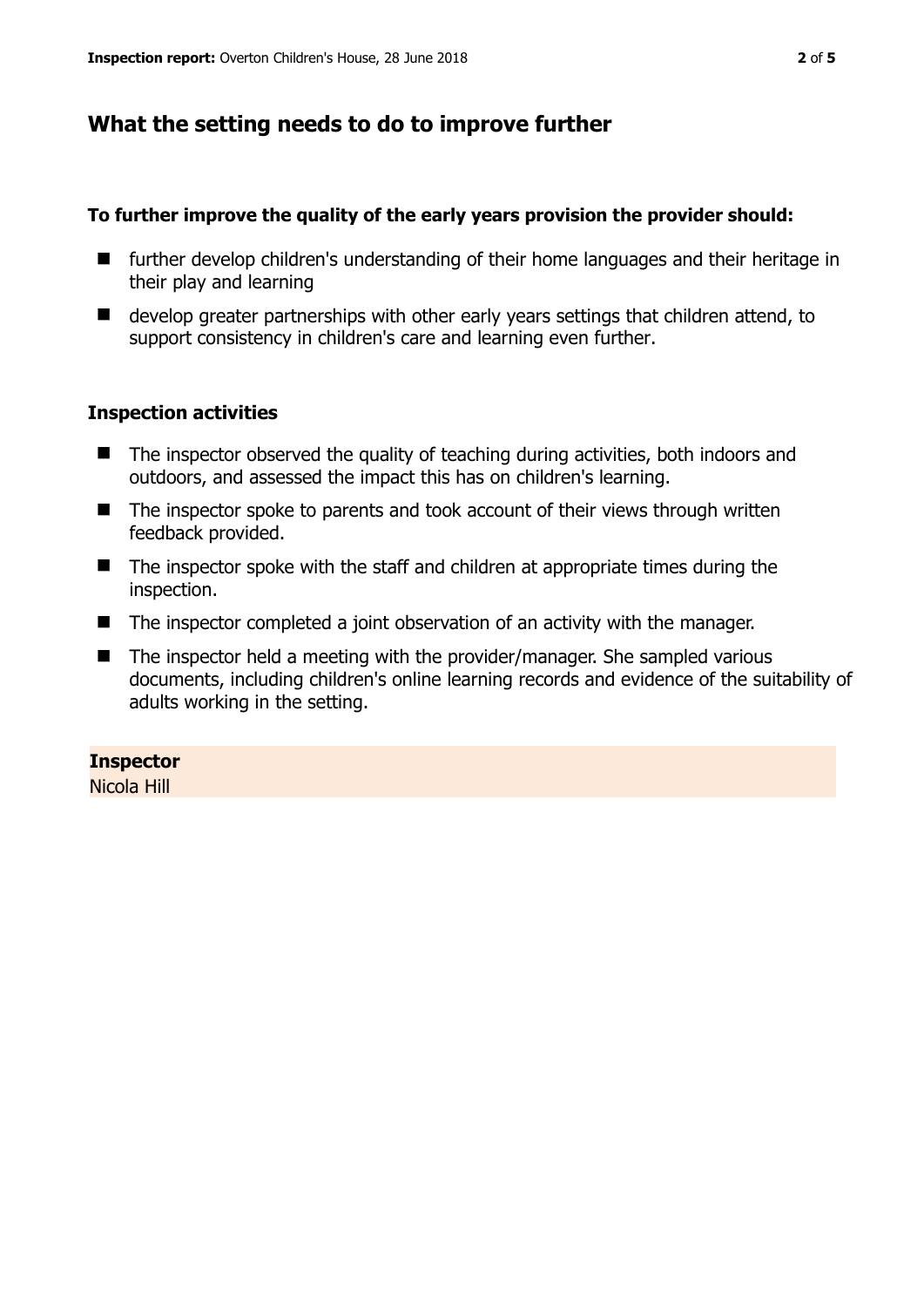# **What the setting needs to do to improve further**

#### **To further improve the quality of the early years provision the provider should:**

- $\blacksquare$  further develop children's understanding of their home languages and their heritage in their play and learning
- develop greater partnerships with other early years settings that children attend, to support consistency in children's care and learning even further.

## **Inspection activities**

- The inspector observed the quality of teaching during activities, both indoors and outdoors, and assessed the impact this has on children's learning.
- The inspector spoke to parents and took account of their views through written feedback provided.
- The inspector spoke with the staff and children at appropriate times during the inspection.
- The inspector completed a joint observation of an activity with the manager.
- The inspector held a meeting with the provider/manager. She sampled various documents, including children's online learning records and evidence of the suitability of adults working in the setting.

## **Inspector**

Nicola Hill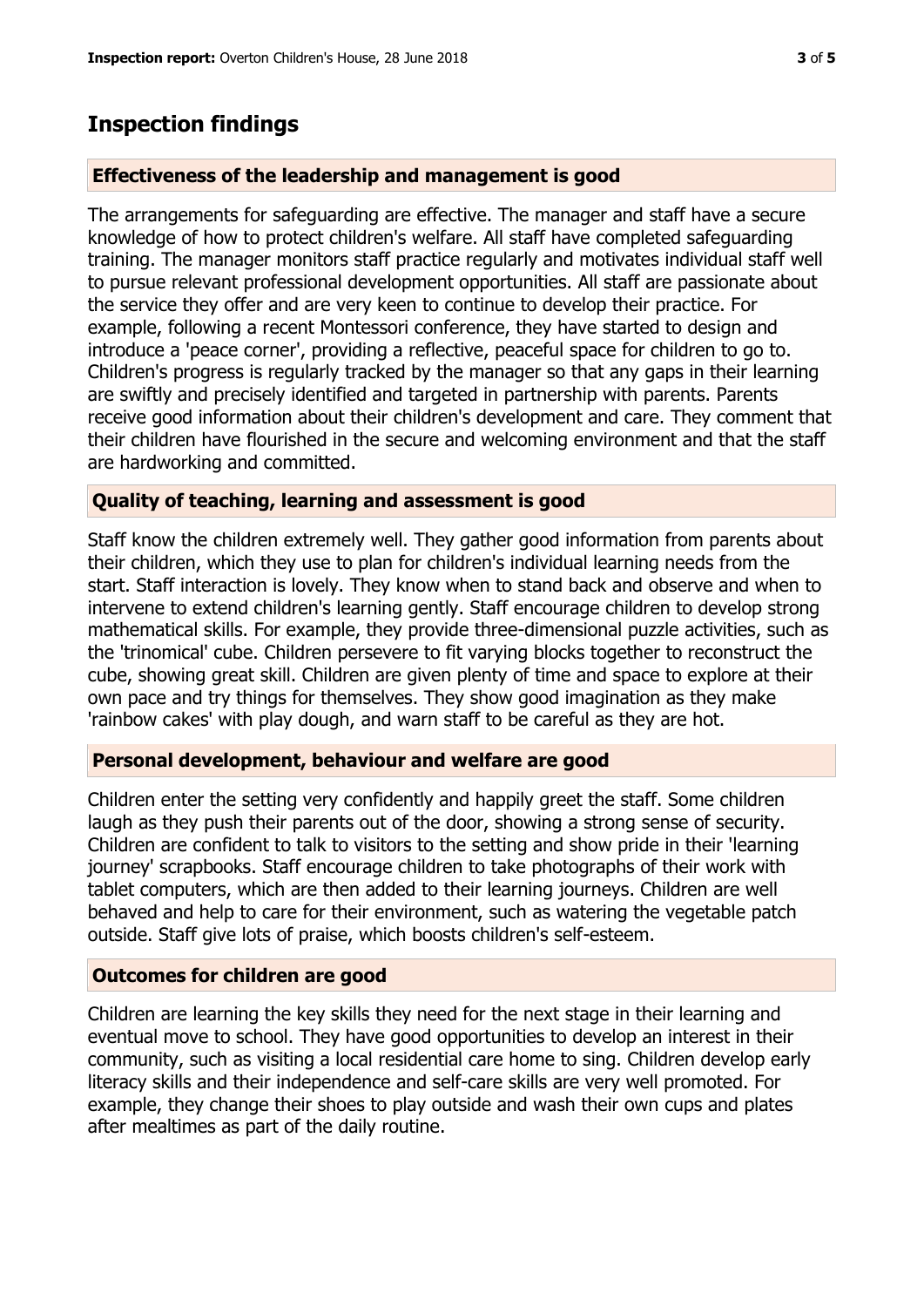## **Inspection findings**

#### **Effectiveness of the leadership and management is good**

The arrangements for safeguarding are effective. The manager and staff have a secure knowledge of how to protect children's welfare. All staff have completed safeguarding training. The manager monitors staff practice regularly and motivates individual staff well to pursue relevant professional development opportunities. All staff are passionate about the service they offer and are very keen to continue to develop their practice. For example, following a recent Montessori conference, they have started to design and introduce a 'peace corner', providing a reflective, peaceful space for children to go to. Children's progress is regularly tracked by the manager so that any gaps in their learning are swiftly and precisely identified and targeted in partnership with parents. Parents receive good information about their children's development and care. They comment that their children have flourished in the secure and welcoming environment and that the staff are hardworking and committed.

#### **Quality of teaching, learning and assessment is good**

Staff know the children extremely well. They gather good information from parents about their children, which they use to plan for children's individual learning needs from the start. Staff interaction is lovely. They know when to stand back and observe and when to intervene to extend children's learning gently. Staff encourage children to develop strong mathematical skills. For example, they provide three-dimensional puzzle activities, such as the 'trinomical' cube. Children persevere to fit varying blocks together to reconstruct the cube, showing great skill. Children are given plenty of time and space to explore at their own pace and try things for themselves. They show good imagination as they make 'rainbow cakes' with play dough, and warn staff to be careful as they are hot.

#### **Personal development, behaviour and welfare are good**

Children enter the setting very confidently and happily greet the staff. Some children laugh as they push their parents out of the door, showing a strong sense of security. Children are confident to talk to visitors to the setting and show pride in their 'learning journey' scrapbooks. Staff encourage children to take photographs of their work with tablet computers, which are then added to their learning journeys. Children are well behaved and help to care for their environment, such as watering the vegetable patch outside. Staff give lots of praise, which boosts children's self-esteem.

#### **Outcomes for children are good**

Children are learning the key skills they need for the next stage in their learning and eventual move to school. They have good opportunities to develop an interest in their community, such as visiting a local residential care home to sing. Children develop early literacy skills and their independence and self-care skills are very well promoted. For example, they change their shoes to play outside and wash their own cups and plates after mealtimes as part of the daily routine.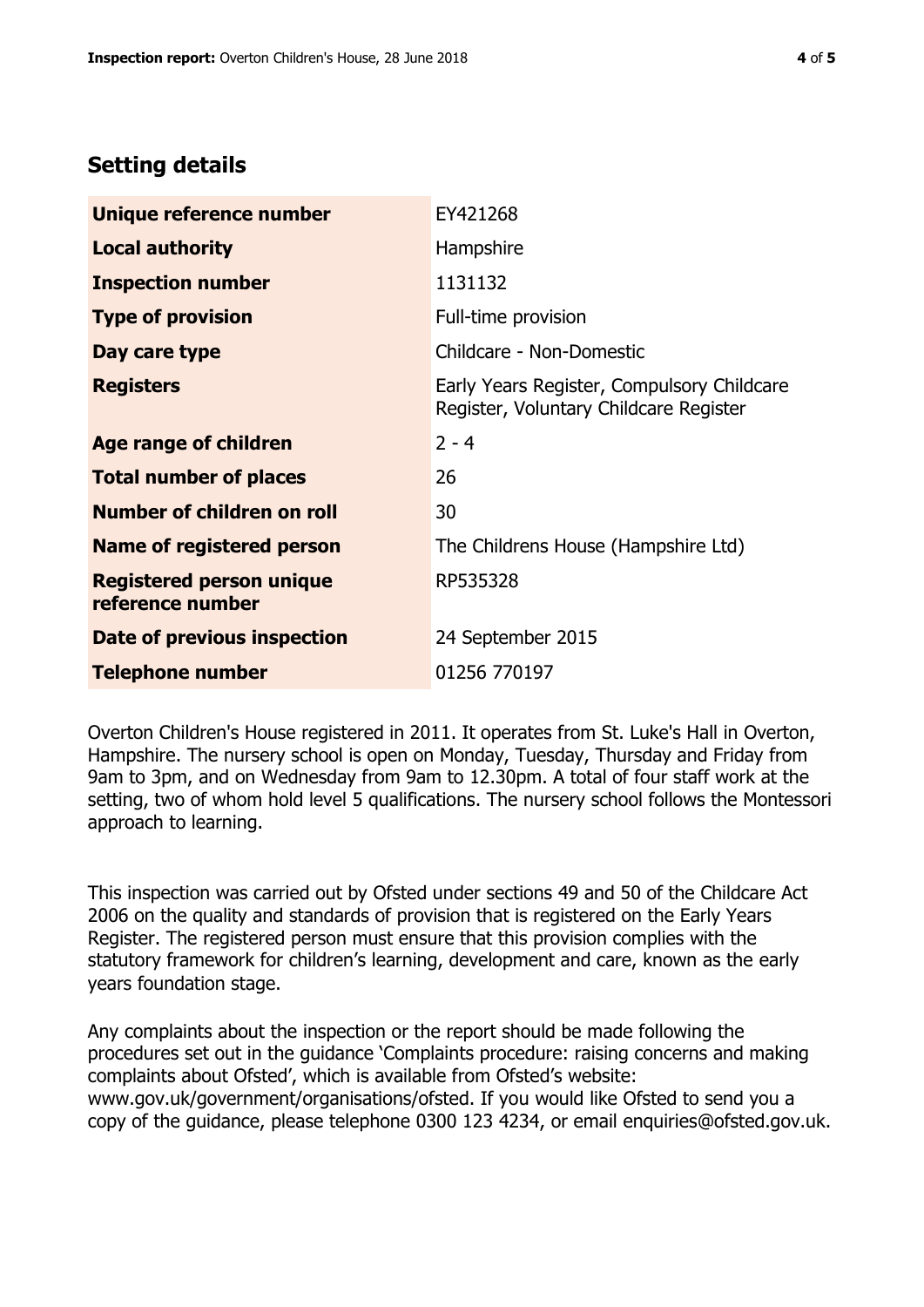# **Setting details**

| Unique reference number                             | EY421268                                                                             |  |
|-----------------------------------------------------|--------------------------------------------------------------------------------------|--|
| <b>Local authority</b>                              | Hampshire                                                                            |  |
| <b>Inspection number</b>                            | 1131132                                                                              |  |
| <b>Type of provision</b>                            | Full-time provision                                                                  |  |
| Day care type                                       | Childcare - Non-Domestic                                                             |  |
| <b>Registers</b>                                    | Early Years Register, Compulsory Childcare<br>Register, Voluntary Childcare Register |  |
| Age range of children                               | $2 - 4$                                                                              |  |
| <b>Total number of places</b>                       | 26                                                                                   |  |
| Number of children on roll                          | 30                                                                                   |  |
| Name of registered person                           | The Childrens House (Hampshire Ltd)                                                  |  |
| <b>Registered person unique</b><br>reference number | RP535328                                                                             |  |
| <b>Date of previous inspection</b>                  | 24 September 2015                                                                    |  |
| <b>Telephone number</b>                             | 01256 770197                                                                         |  |

Overton Children's House registered in 2011. It operates from St. Luke's Hall in Overton, Hampshire. The nursery school is open on Monday, Tuesday, Thursday and Friday from 9am to 3pm, and on Wednesday from 9am to 12.30pm. A total of four staff work at the setting, two of whom hold level 5 qualifications. The nursery school follows the Montessori approach to learning.

This inspection was carried out by Ofsted under sections 49 and 50 of the Childcare Act 2006 on the quality and standards of provision that is registered on the Early Years Register. The registered person must ensure that this provision complies with the statutory framework for children's learning, development and care, known as the early years foundation stage.

Any complaints about the inspection or the report should be made following the procedures set out in the guidance 'Complaints procedure: raising concerns and making complaints about Ofsted', which is available from Ofsted's website: www.gov.uk/government/organisations/ofsted. If you would like Ofsted to send you a copy of the guidance, please telephone 0300 123 4234, or email enquiries@ofsted.gov.uk.